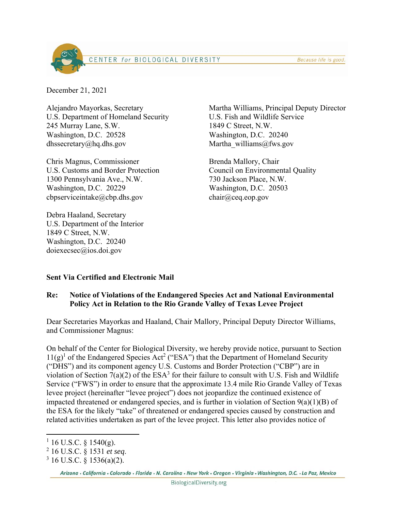Because life is good.



December 21, 2021

Alejandro Mayorkas, Secretary U.S. Department of Homeland Security 245 Murray Lane, S.W. Washington, D.C. 20528 dhssecretary@hq.dhs.gov

Chris Magnus, Commissioner U.S. Customs and Border Protection 1300 Pennsylvania Ave., N.W. Washington, D.C. 20229 cbpserviceintake@cbp.dhs.gov

Debra Haaland, Secretary U.S. Department of the Interior 1849 C Street, N.W. Washington, D.C. 20240 doiexecsec@ios.doi.gov

Martha Williams, Principal Deputy Director U.S. Fish and Wildlife Service 1849 C Street, N.W. Washington, D.C. 20240 Martha williams@fws.gov

Brenda Mallory, Chair Council on Environmental Quality 730 Jackson Place, N.W. Washington, D.C. 20503 chair@ceq.eop.gov

## **Sent Via Certified and Electronic Mail**

#### **Re: Notice of Violations of the Endangered Species Act and National Environmental Policy Act in Relation to the Rio Grande Valley of Texas Levee Project**

Dear Secretaries Mayorkas and Haaland, Chair Mallory, Principal Deputy Director Williams, and Commissioner Magnus:

On behalf of the Center for Biological Diversity, we hereby provide notice, pursuant to Section  $11(g)^1$  of the Endangered Species Act<sup>2</sup> ("ESA") that the Department of Homeland Security ("DHS") and its component agency U.S. Customs and Border Protection ("CBP") are in violation of Section  $7(a)(2)$  of the ESA<sup>3</sup> for their failure to consult with U.S. Fish and Wildlife Service ("FWS") in order to ensure that the approximate 13.4 mile Rio Grande Valley of Texas levee project (hereinafter "levee project") does not jeopardize the continued existence of impacted threatened or endangered species, and is further in violation of Section  $9(a)(1)(B)$  of the ESA for the likely "take" of threatened or endangered species caused by construction and related activities undertaken as part of the levee project. This letter also provides notice of

 $1\,$  16 U.S.C. § 1540(g).

<sup>&</sup>lt;sup>2</sup> 16 U.S.C. § 1531 *et seq.*<br><sup>3</sup> 16 U.S.C. 8 1536(a)(2)

 $3$  16 U.S.C. § 1536(a)(2).

Arizona - California - Colorado - Florida - N. Carolina - New York - Oregon - Virginia - Washington, D.C. - La Paz, Mexico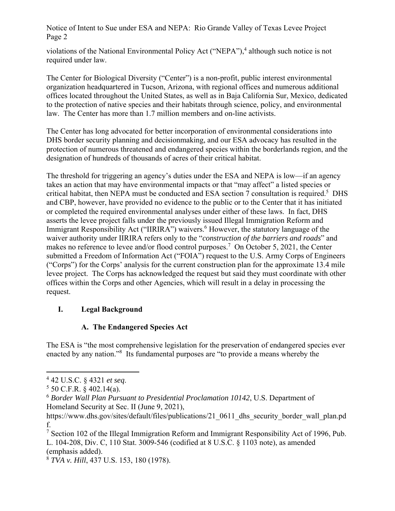violations of the National Environmental Policy Act ("NEPA"),<sup>4</sup> although such notice is not required under law.

The Center for Biological Diversity ("Center") is a non-profit, public interest environmental organization headquartered in Tucson, Arizona, with regional offices and numerous additional offices located throughout the United States, as well as in Baja California Sur, Mexico, dedicated to the protection of native species and their habitats through science, policy, and environmental law. The Center has more than 1.7 million members and on-line activists.

The Center has long advocated for better incorporation of environmental considerations into DHS border security planning and decisionmaking, and our ESA advocacy has resulted in the protection of numerous threatened and endangered species within the borderlands region, and the designation of hundreds of thousands of acres of their critical habitat.

The threshold for triggering an agency's duties under the ESA and NEPA is low—if an agency takes an action that may have environmental impacts or that "may affect" a listed species or critical habitat, then NEPA must be conducted and ESA section 7 consultation is required.<sup>5</sup> DHS and CBP, however, have provided no evidence to the public or to the Center that it has initiated or completed the required environmental analyses under either of these laws. In fact, DHS asserts the levee project falls under the previously issued Illegal Immigration Reform and Immigrant Responsibility Act ("IIRIRA") waivers.<sup>6</sup> However, the statutory language of the waiver authority under IIRIRA refers only to the "*construction of the barriers and roads*" and makes no reference to levee and/or flood control purposes.<sup>7</sup> On October 5, 2021, the Center submitted a Freedom of Information Act ("FOIA") request to the U.S. Army Corps of Engineers ("Corps") for the Corps' analysis for the current construction plan for the approximate 13.4 mile levee project. The Corps has acknowledged the request but said they must coordinate with other offices within the Corps and other Agencies, which will result in a delay in processing the request.

## **I. Legal Background**

## **A. The Endangered Species Act**

The ESA is "the most comprehensive legislation for the preservation of endangered species ever enacted by any nation."<sup>8</sup> Its fundamental purposes are "to provide a means whereby the

 $^{4}$  42 U.S.C. § 4321 *et seq.*<br><sup>5</sup> 50 C E P  $\rightarrow$  402 14(a)

 $5$  50 C.F.R. § 402.14(a).

<sup>6</sup> *Border Wall Plan Pursuant to Presidential Proclamation 10142*, U.S. Department of Homeland Security at Sec. II (June 9, 2021),

https://www.dhs.gov/sites/default/files/publications/21\_0611\_dhs\_security\_border\_wall\_plan.pd f.

<sup>&</sup>lt;sup>7</sup> Section 102 of the Illegal Immigration Reform and Immigrant Responsibility Act of 1996, Pub. L. 104-208, Div. C, 110 Stat. 3009-546 (codified at 8 U.S.C. § 1103 note), as amended (emphasis added).

<sup>8</sup> *TVA v. Hill*, 437 U.S. 153, 180 (1978).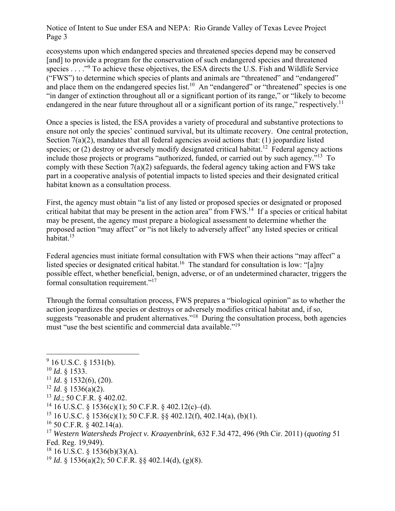ecosystems upon which endangered species and threatened species depend may be conserved [and] to provide a program for the conservation of such endangered species and threatened species . . . . "<sup>9</sup> To achieve these objectives, the ESA directs the U.S. Fish and Wildlife Service ("FWS") to determine which species of plants and animals are "threatened" and "endangered" and place them on the endangered species list.<sup>10</sup> An "endangered" or "threatened" species is one "in danger of extinction throughout all or a significant portion of its range," or "likely to become endangered in the near future throughout all or a significant portion of its range," respectively.<sup>11</sup>

Once a species is listed, the ESA provides a variety of procedural and substantive protections to ensure not only the species' continued survival, but its ultimate recovery. One central protection, Section 7(a)(2), mandates that all federal agencies avoid actions that: (1) jeopardize listed species; or  $(2)$  destroy or adversely modify designated critical habitat.<sup>12</sup> Federal agency actions include those projects or programs "authorized, funded, or carried out by such agency."13 To comply with these Section 7(a)(2) safeguards, the federal agency taking action and FWS take part in a cooperative analysis of potential impacts to listed species and their designated critical habitat known as a consultation process.

First, the agency must obtain "a list of any listed or proposed species or designated or proposed critical habitat that may be present in the action area" from FWS.14 If a species or critical habitat may be present, the agency must prepare a biological assessment to determine whether the proposed action "may affect" or "is not likely to adversely affect" any listed species or critical habitat.15

Federal agencies must initiate formal consultation with FWS when their actions "may affect" a listed species or designated critical habitat.<sup>16</sup> The standard for consultation is low: "[a]ny possible effect, whether beneficial, benign, adverse, or of an undetermined character, triggers the formal consultation requirement."<sup>17</sup>

Through the formal consultation process, FWS prepares a "biological opinion" as to whether the action jeopardizes the species or destroys or adversely modifies critical habitat and, if so, suggests "reasonable and prudent alternatives."<sup>18</sup> During the consultation process, both agencies must "use the best scientific and commercial data available."<sup>19</sup>

- <sup>10</sup> *Id*. § 1533.
- $11$  *Id.* § 1532(6), (20).
- <sup>12</sup> *Id.* § 1536(a)(2).
- <sup>13</sup> *Id*.; 50 C.F.R. § 402.02.
- <sup>14</sup> 16 U.S.C. § 1536(c)(1); 50 C.F.R. § 402.12(c)–(d).
- <sup>15</sup> 16 U.S.C. § 1536(c)(1); 50 C.F.R. §§ 402.12(f), 402.14(a), (b)(1).
- $16$  50 C.F.R. § 402.14(a).

 $18$  16 U.S.C. § 1536(b)(3)(A).

<sup>19</sup> *Id*. § 1536(a)(2); 50 C.F.R. §§ 402.14(d), (g)(8).

 $9$  16 U.S.C. § 1531(b).

<sup>17</sup> *Western Watersheds Project v. Kraayenbrink*, 632 F.3d 472, 496 (9th Cir. 2011) (*quoting* 51 Fed. Reg. 19,949).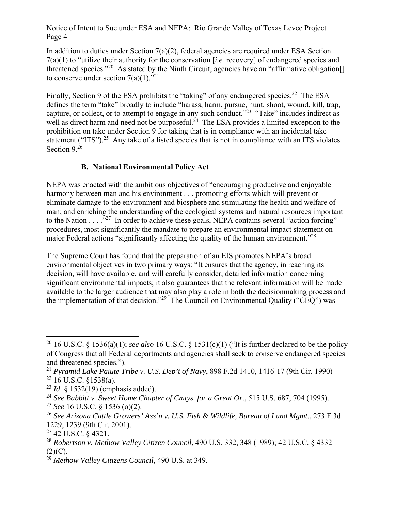In addition to duties under Section 7(a)(2), federal agencies are required under ESA Section 7(a)(1) to "utilize their authority for the conservation [*i.e.* recovery] of endangered species and threatened species."<sup>20</sup> As stated by the Ninth Circuit, agencies have an "affirmative obligation.] to conserve under section  $7(a)(1)$ ."<sup>21</sup>

Finally, Section 9 of the ESA prohibits the "taking" of any endangered species.<sup>22</sup> The ESA defines the term "take" broadly to include "harass, harm, pursue, hunt, shoot, wound, kill, trap, capture, or collect, or to attempt to engage in any such conduct.<sup> $23$ </sup> "Take" includes indirect as well as direct harm and need not be purposeful.<sup>24</sup> The ESA provides a limited exception to the prohibition on take under Section 9 for taking that is in compliance with an incidental take statement ("ITS").<sup>25</sup> Any take of a listed species that is not in compliance with an ITS violates Section 9.26

## **B. National Environmental Policy Act**

NEPA was enacted with the ambitious objectives of "encouraging productive and enjoyable harmony between man and his environment . . . promoting efforts which will prevent or eliminate damage to the environment and biosphere and stimulating the health and welfare of man; and enriching the understanding of the ecological systems and natural resources important to the Nation  $\dots$  ."<sup>27</sup> In order to achieve these goals, NEPA contains several "action forcing" procedures, most significantly the mandate to prepare an environmental impact statement on major Federal actions "significantly affecting the quality of the human environment."<sup>28</sup>

The Supreme Court has found that the preparation of an EIS promotes NEPA's broad environmental objectives in two primary ways: "It ensures that the agency, in reaching its decision, will have available, and will carefully consider, detailed information concerning significant environmental impacts; it also guarantees that the relevant information will be made available to the larger audience that may also play a role in both the decisionmaking process and the implementation of that decision."<sup>29</sup> The Council on Environmental Quality ("CEQ") was

<sup>20 16</sup> U.S.C. § 1536(a)(1); *see also* 16 U.S.C. § 1531(c)(1) ("It is further declared to be the policy of Congress that all Federal departments and agencies shall seek to conserve endangered species and threatened species.").

<sup>21</sup> *Pyramid Lake Paiute Tribe v. U.S. Dep't of Navy*, 898 F.2d 1410, 1416-17 (9th Cir. 1990)  $22$  16 U.S.C. §1538(a).

<sup>23</sup> *Id*. § 1532(19) (emphasis added).

<sup>24</sup> *See Babbitt v. Sweet Home Chapter of Cmtys. for a Great Or*., 515 U.S. 687, 704 (1995).

<sup>25</sup> *See* 16 U.S.C. § 1536 (o)(2).

<sup>26</sup> *See Arizona Cattle Growers' Ass'n v. U.S. Fish & Wildlife, Bureau of Land Mgmt*., 273 F.3d 1229, 1239 (9th Cir. 2001).

<sup>27 42</sup> U.S.C. § 4321.

<sup>28</sup> *Robertson v. Methow Valley Citizen Council*, 490 U.S. 332, 348 (1989); 42 U.S.C. § 4332  $(2)(C).$ 

<sup>29</sup> *Methow Valley Citizens Council*, 490 U.S. at 349.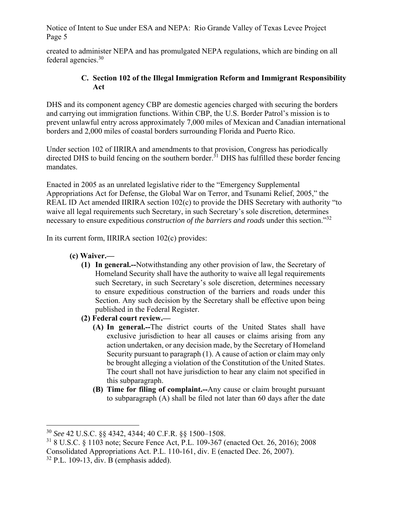created to administer NEPA and has promulgated NEPA regulations, which are binding on all federal agencies.30

## **C. Section 102 of the Illegal Immigration Reform and Immigrant Responsibility Act**

DHS and its component agency CBP are domestic agencies charged with securing the borders and carrying out immigration functions. Within CBP, the U.S. Border Patrol's mission is to prevent unlawful entry across approximately 7,000 miles of Mexican and Canadian international borders and 2,000 miles of coastal borders surrounding Florida and Puerto Rico.

Under section 102 of IIRIRA and amendments to that provision, Congress has periodically directed DHS to build fencing on the southern border.<sup>31</sup> DHS has fulfilled these border fencing mandates.

Enacted in 2005 as an unrelated legislative rider to the "Emergency Supplemental Appropriations Act for Defense, the Global War on Terror, and Tsunami Relief, 2005," the REAL ID Act amended IIRIRA section 102(c) to provide the DHS Secretary with authority "to waive all legal requirements such Secretary, in such Secretary's sole discretion, determines necessary to ensure expeditious *construction of the barriers and roads* under this section."<sup>32</sup>

In its current form, IIRIRA section 102(c) provides:

- **(c) Waiver.—** 
	- **(1) In general.--**Notwithstanding any other provision of law, the Secretary of Homeland Security shall have the authority to waive all legal requirements such Secretary, in such Secretary's sole discretion, determines necessary to ensure expeditious construction of the barriers and roads under this Section. Any such decision by the Secretary shall be effective upon being published in the Federal Register.
	- **(2) Federal court review.—** 
		- **(A) In general.--**The district courts of the United States shall have exclusive jurisdiction to hear all causes or claims arising from any action undertaken, or any decision made, by the Secretary of Homeland Security pursuant to paragraph (1). A cause of action or claim may only be brought alleging a violation of the Constitution of the United States. The court shall not have jurisdiction to hear any claim not specified in this subparagraph.
		- **(B) Time for filing of complaint.--**Any cause or claim brought pursuant to subparagraph (A) shall be filed not later than 60 days after the date

<sup>30</sup> *See* 42 U.S.C. §§ 4342, 4344; 40 C.F.R. §§ 1500–1508.

<sup>31 8</sup> U.S.C. § 1103 note; Secure Fence Act, P.L. 109-367 (enacted Oct. 26, 2016); 2008 Consolidated Appropriations Act. P.L. 110-161, div. E (enacted Dec. 26, 2007).

 $32$  P.L. 109-13, div. B (emphasis added).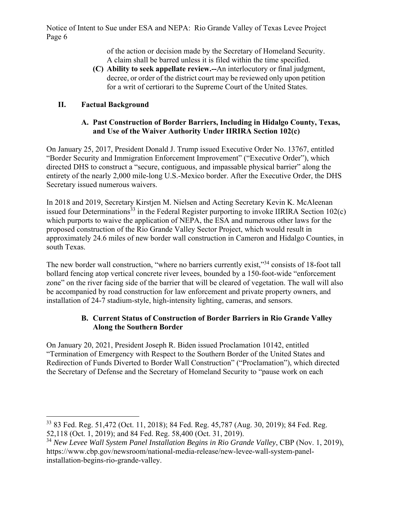> of the action or decision made by the Secretary of Homeland Security. A claim shall be barred unless it is filed within the time specified.

**(C) Ability to seek appellate review.--**An interlocutory or final judgment, decree, or order of the district court may be reviewed only upon petition for a writ of certiorari to the Supreme Court of the United States.

## **II. Factual Background**

### **A. Past Construction of Border Barriers, Including in Hidalgo County, Texas, and Use of the Waiver Authority Under IIRIRA Section 102(c)**

On January 25, 2017, President Donald J. Trump issued Executive Order No. 13767, entitled "Border Security and Immigration Enforcement Improvement" ("Executive Order"), which directed DHS to construct a "secure, contiguous, and impassable physical barrier" along the entirety of the nearly 2,000 mile-long U.S.-Mexico border. After the Executive Order, the DHS Secretary issued numerous waivers.

In 2018 and 2019, Secretary Kirstjen M. Nielsen and Acting Secretary Kevin K. McAleenan issued four Determinations<sup>33</sup> in the Federal Register purporting to invoke IIRIRA Section 102(c) which purports to waive the application of NEPA, the ESA and numerous other laws for the proposed construction of the Rio Grande Valley Sector Project, which would result in approximately 24.6 miles of new border wall construction in Cameron and Hidalgo Counties, in south Texas.

The new border wall construction, "where no barriers currently exist,"<sup>34</sup> consists of 18-foot tall bollard fencing atop vertical concrete river levees, bounded by a 150-foot-wide "enforcement zone" on the river facing side of the barrier that will be cleared of vegetation. The wall will also be accompanied by road construction for law enforcement and private property owners, and installation of 24-7 stadium-style, high-intensity lighting, cameras, and sensors.

### **B. Current Status of Construction of Border Barriers in Rio Grande Valley Along the Southern Border**

On January 20, 2021, President Joseph R. Biden issued Proclamation 10142, entitled "Termination of Emergency with Respect to the Southern Border of the United States and Redirection of Funds Diverted to Border Wall Construction" ("Proclamation"), which directed the Secretary of Defense and the Secretary of Homeland Security to "pause work on each

<sup>33 83</sup> Fed. Reg. 51,472 (Oct. 11, 2018); 84 Fed. Reg. 45,787 (Aug. 30, 2019); 84 Fed. Reg. 52,118 (Oct. 1, 2019); and 84 Fed. Reg. 58,400 (Oct. 31, 2019).

<sup>34</sup> *New Levee Wall System Panel Installation Begins in Rio Grande Valley*, CBP (Nov. 1, 2019), https://www.cbp.gov/newsroom/national-media-release/new-levee-wall-system-panelinstallation-begins-rio-grande-valley.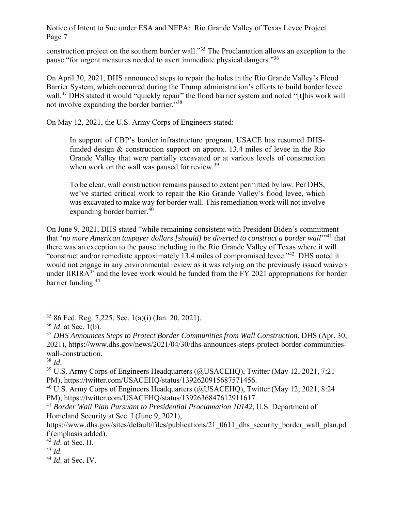construction project on the southern border wall."35 The Proclamation allows an exception to the pause "for urgent measures needed to avert immediate physical dangers."36

On April 30, 2021, DHS announced steps to repair the holes in the Rio Grande Valley's Flood Barrier System, which occurred during the Trump administration's efforts to build border levee wall.<sup>37</sup> DHS stated it would "quickly repair" the flood barrier system and noted "[t]his work will not involve expanding the border barrier."38

On May 12, 2021, the U.S. Army Corps of Engineers stated:

In support of CBP's border infrastructure program, USACE has resumed DHSfunded design & construction support on approx. 13.4 miles of levee in the Rio Grande Valley that were partially excavated or at various levels of construction when work on the wall was paused for review.<sup>39</sup>

To be clear, wall construction remains paused to extent permitted by law. Per DHS, we've started critical work to repair the Rio Grande Valley's flood levee, which was excavated to make way for border wall. This remediation work will not involve expanding border barrier. $40$ 

On June 9, 2021, DHS stated "while remaining consistent with President Biden's commitment that 'no more American taxpayer dollars [should] be diverted to construct a border wall<sup>'"41</sup> that there was an exception to the pause including in the Rio Grande Valley of Texas where it will "construct and/or remediate approximately 13.4 miles of compromised levee."<sup>42</sup> DHS noted it would not engage in any environmental review as it was relying on the previously issued waivers under IIRIR $A^{43}$  and the levee work would be funded from the FY 2021 appropriations for border barrier funding.<sup>44</sup>

<sup>43</sup> *Id*. 44 *Id*. at Sec. IV.

<sup>35 86</sup> Fed. Reg. 7,225, Sec. 1(a)(i) (Jan. 20, 2021).

<sup>36</sup> *Id*. at Sec. 1(b).

<sup>37</sup> *DHS Announces Steps to Protect Border Communities from Wall Construction*, DHS (Apr. 30, 2021), https://www.dhs.gov/news/2021/04/30/dhs-announces-steps-protect-border-communitieswall-construction.

<sup>&</sup>lt;sup>38</sup> *Id.* 39 U.S. Army Corps of Engineers Headquarters (@USACEHQ), Twitter (May 12, 2021, 7:21) PM), https://twitter.com/USACEHQ/status/1392620915687571456.

<sup>&</sup>lt;sup>40</sup> U.S. Army Corps of Engineers Headquarters (@USACEHQ), Twitter (May 12, 2021, 8:24 PM), https://twitter.com/USACEHQ/status/1392636847612911617.

<sup>41</sup> *Border Wall Plan Pursuant to Presidential Proclamation 10142*, U.S. Department of Homeland Security at Sec. I (June 9, 2021),

https://www.dhs.gov/sites/default/files/publications/21\_0611\_dhs\_security\_border\_wall\_plan.pd f (emphasis added).

 $^{42}$  *Id.* at Sec. II.<br> $^{43}$  *Id.*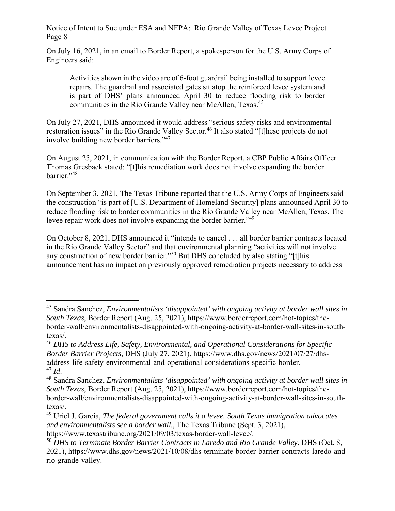On July 16, 2021, in an email to Border Report, a spokesperson for the U.S. Army Corps of Engineers said:

Activities shown in the video are of 6-foot guardrail being installed to support levee repairs. The guardrail and associated gates sit atop the reinforced levee system and is part of DHS' plans announced April 30 to reduce flooding risk to border communities in the Rio Grande Valley near McAllen, Texas.<sup>45</sup>

On July 27, 2021, DHS announced it would address "serious safety risks and environmental restoration issues" in the Rio Grande Valley Sector.<sup>46</sup> It also stated "[t]hese projects do not involve building new border barriers."<sup>47</sup>

On August 25, 2021, in communication with the Border Report, a CBP Public Affairs Officer Thomas Gresback stated: "[t]his remediation work does not involve expanding the border barrier."48

On September 3, 2021, The Texas Tribune reported that the U.S. Army Corps of Engineers said the construction "is part of [U.S. Department of Homeland Security] plans announced April 30 to reduce flooding risk to border communities in the Rio Grande Valley near McAllen, Texas. The levee repair work does not involve expanding the border barrier."<sup>49</sup>

On October 8, 2021, DHS announced it "intends to cancel . . . all border barrier contracts located in the Rio Grande Valley Sector" and that environmental planning "activities will not involve any construction of new border barrier."50 But DHS concluded by also stating "[t]his announcement has no impact on previously approved remediation projects necessary to address

<sup>45</sup> Sandra Sanchez, *Environmentalists 'disappointed' with ongoing activity at border wall sites in South Texas*, Border Report (Aug. 25, 2021), https://www.borderreport.com/hot-topics/theborder-wall/environmentalists-disappointed-with-ongoing-activity-at-border-wall-sites-in-southtexas/.

<sup>46</sup> *DHS to Address Life, Safety, Environmental, and Operational Considerations for Specific Border Barrier Projects*, DHS (July 27, 2021), https://www.dhs.gov/news/2021/07/27/dhsaddress-life-safety-environmental-and-operational-considerations-specific-border.<br><sup>47</sup> Id.

<sup>&</sup>lt;sup>48</sup> Sandra Sanchez, *Environmentalists 'disappointed' with ongoing activity at border wall sites in South Texas*, Border Report (Aug. 25, 2021), https://www.borderreport.com/hot-topics/theborder-wall/environmentalists-disappointed-with-ongoing-activity-at-border-wall-sites-in-southtexas/.

<sup>49</sup> Uriel J. García, *The federal government calls it a levee. South Texas immigration advocates and environmentalists see a border wall.*, The Texas Tribune (Sept. 3, 2021), https://www.texastribune.org/2021/09/03/texas-border-wall-levee/.

<sup>50</sup> *DHS to Terminate Border Barrier Contracts in Laredo and Rio Grande Valley*, DHS (Oct. 8, 2021), https://www.dhs.gov/news/2021/10/08/dhs-terminate-border-barrier-contracts-laredo-andrio-grande-valley.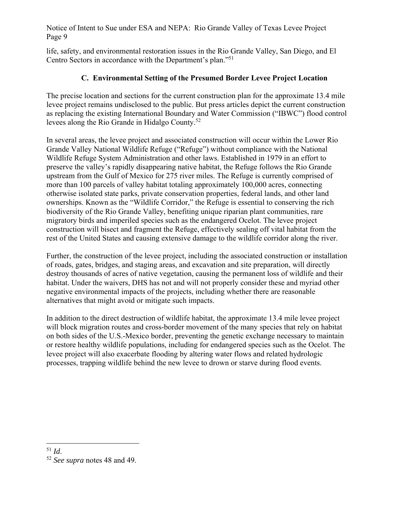life, safety, and environmental restoration issues in the Rio Grande Valley, San Diego, and El Centro Sectors in accordance with the Department's plan."51

## **C. Environmental Setting of the Presumed Border Levee Project Location**

The precise location and sections for the current construction plan for the approximate 13.4 mile levee project remains undisclosed to the public. But press articles depict the current construction as replacing the existing International Boundary and Water Commission ("IBWC") flood control levees along the Rio Grande in Hidalgo County.52

In several areas, the levee project and associated construction will occur within the Lower Rio Grande Valley National Wildlife Refuge ("Refuge") without compliance with the National Wildlife Refuge System Administration and other laws. Established in 1979 in an effort to preserve the valley's rapidly disappearing native habitat, the Refuge follows the Rio Grande upstream from the Gulf of Mexico for 275 river miles. The Refuge is currently comprised of more than 100 parcels of valley habitat totaling approximately 100,000 acres, connecting otherwise isolated state parks, private conservation properties, federal lands, and other land ownerships. Known as the "Wildlife Corridor," the Refuge is essential to conserving the rich biodiversity of the Rio Grande Valley, benefiting unique riparian plant communities, rare migratory birds and imperiled species such as the endangered Ocelot. The levee project construction will bisect and fragment the Refuge, effectively sealing off vital habitat from the rest of the United States and causing extensive damage to the wildlife corridor along the river.

Further, the construction of the levee project, including the associated construction or installation of roads, gates, bridges, and staging areas, and excavation and site preparation, will directly destroy thousands of acres of native vegetation, causing the permanent loss of wildlife and their habitat. Under the waivers, DHS has not and will not properly consider these and myriad other negative environmental impacts of the projects, including whether there are reasonable alternatives that might avoid or mitigate such impacts.

In addition to the direct destruction of wildlife habitat, the approximate 13.4 mile levee project will block migration routes and cross-border movement of the many species that rely on habitat on both sides of the U.S.-Mexico border, preventing the genetic exchange necessary to maintain or restore healthy wildlife populations, including for endangered species such as the Ocelot. The levee project will also exacerbate flooding by altering water flows and related hydrologic processes, trapping wildlife behind the new levee to drown or starve during flood events.

<sup>51</sup> *Id*. 52 *See supra* notes 48 and 49.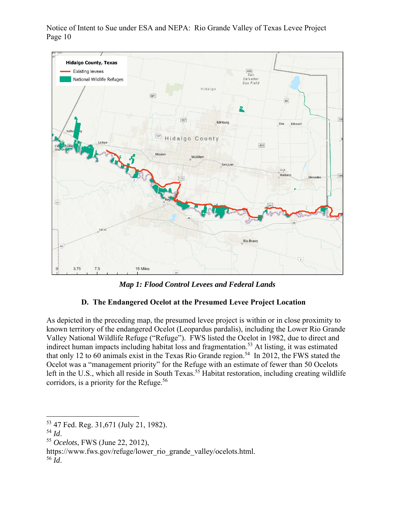

*Map 1: Flood Control Levees and Federal Lands* 

# **D. The Endangered Ocelot at the Presumed Levee Project Location**

As depicted in the preceding map, the presumed levee project is within or in close proximity to known territory of the endangered Ocelot (Leopardus pardalis), including the Lower Rio Grande Valley National Wildlife Refuge ("Refuge"). FWS listed the Ocelot in 1982, due to direct and indirect human impacts including habitat loss and fragmentation. 53 At listing, it was estimated that only 12 to 60 animals exist in the Texas Rio Grande region. 54 In 2012, the FWS stated the Ocelot was a "management priority" for the Refuge with an estimate of fewer than 50 Ocelots left in the U.S., which all reside in South Texas.<sup>55</sup> Habitat restoration, including creating wildlife corridors, is a priority for the Refuge.<sup>56</sup>

 $^{53}$  47 Fed. Reg. 31,671 (July 21, 1982).<br> $^{54}$  *Id.* 

<sup>54</sup> *Id*. 55 *Ocelots*, FWS (June 22, 2012),

https://www.fws.gov/refuge/lower\_rio\_grande\_valley/ocelots.html. 56 *Id*.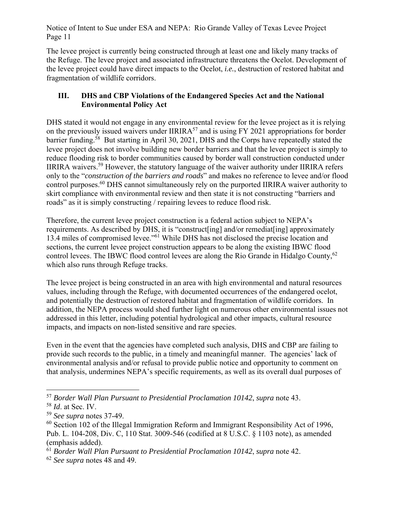The levee project is currently being constructed through at least one and likely many tracks of the Refuge. The levee project and associated infrastructure threatens the Ocelot. Development of the levee project could have direct impacts to the Ocelot, *i.e.*, destruction of restored habitat and fragmentation of wildlife corridors.

### **III. DHS and CBP Violations of the Endangered Species Act and the National Environmental Policy Act**

DHS stated it would not engage in any environmental review for the levee project as it is relying on the previously issued waivers under IIRIRA<sup>57</sup> and is using FY 2021 appropriations for border barrier funding.<sup>58</sup> But starting in April 30, 2021, DHS and the Corps have repeatedly stated the levee project does not involve building new border barriers and that the levee project is simply to reduce flooding risk to border communities caused by border wall construction conducted under IIRIRA waivers.<sup>59</sup> However, the statutory language of the waiver authority under IIRIRA refers only to the "*construction of the barriers and roads*" and makes no reference to levee and/or flood control purposes.60 DHS cannot simultaneously rely on the purported IIRIRA waiver authority to skirt compliance with environmental review and then state it is not constructing "barriers and roads" as it is simply constructing / repairing levees to reduce flood risk.

Therefore, the current levee project construction is a federal action subject to NEPA's requirements. As described by DHS, it is "construct[ing] and/or remediat[ing] approximately 13.4 miles of compromised levee."61 While DHS has not disclosed the precise location and sections, the current levee project construction appears to be along the existing IBWC flood control levees. The IBWC flood control levees are along the Rio Grande in Hidalgo County,<sup>62</sup> which also runs through Refuge tracks.

The levee project is being constructed in an area with high environmental and natural resources values, including through the Refuge, with documented occurrences of the endangered ocelot, and potentially the destruction of restored habitat and fragmentation of wildlife corridors. In addition, the NEPA process would shed further light on numerous other environmental issues not addressed in this letter, including potential hydrological and other impacts, cultural resource impacts, and impacts on non-listed sensitive and rare species.

Even in the event that the agencies have completed such analysis, DHS and CBP are failing to provide such records to the public, in a timely and meaningful manner. The agencies' lack of environmental analysis and/or refusal to provide public notice and opportunity to comment on that analysis, undermines NEPA's specific requirements, as well as its overall dual purposes of

<sup>57</sup> *Border Wall Plan Pursuant to Presidential Proclamation 10142*, *supra* note 43.

<sup>58</sup> *Id*. at Sec. IV.

<sup>59</sup> *See supra* notes 37-49.

 $60$  Section 102 of the Illegal Immigration Reform and Immigrant Responsibility Act of 1996, Pub. L. 104-208, Div. C, 110 Stat. 3009-546 (codified at 8 U.S.C. § 1103 note), as amended (emphasis added).

<sup>61</sup> *Border Wall Plan Pursuant to Presidential Proclamation 10142*, *supra* note 42.

<sup>62</sup> *See supra* notes 48 and 49.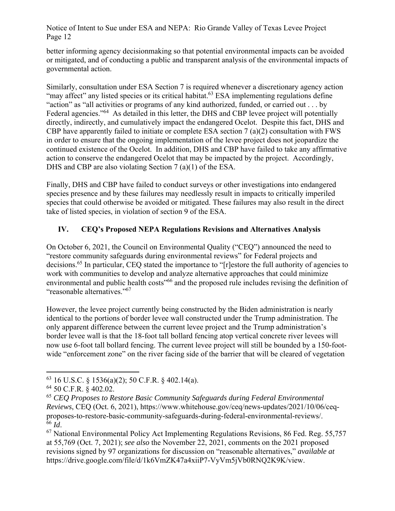better informing agency decisionmaking so that potential environmental impacts can be avoided or mitigated, and of conducting a public and transparent analysis of the environmental impacts of governmental action.

Similarly, consultation under ESA Section 7 is required whenever a discretionary agency action "may affect" any listed species or its critical habitat.<sup>63</sup> ESA implementing regulations define "action" as "all activities or programs of any kind authorized, funded, or carried out . . . by Federal agencies."<sup>64</sup> As detailed in this letter, the DHS and CBP levee project will potentially directly, indirectly, and cumulatively impact the endangered Ocelot. Despite this fact, DHS and CBP have apparently failed to initiate or complete ESA section 7 (a)(2) consultation with FWS in order to ensure that the ongoing implementation of the levee project does not jeopardize the continued existence of the Ocelot. In addition, DHS and CBP have failed to take any affirmative action to conserve the endangered Ocelot that may be impacted by the project. Accordingly, DHS and CBP are also violating Section 7 (a)(1) of the ESA.

Finally, DHS and CBP have failed to conduct surveys or other investigations into endangered species presence and by these failures may needlessly result in impacts to critically imperiled species that could otherwise be avoided or mitigated. These failures may also result in the direct take of listed species, in violation of section 9 of the ESA.

# **IV. CEQ's Proposed NEPA Regulations Revisions and Alternatives Analysis**

On October 6, 2021, the Council on Environmental Quality ("CEQ") announced the need to "restore community safeguards during environmental reviews" for Federal projects and decisions.65 In particular, CEQ stated the importance to "[r]estore the full authority of agencies to work with communities to develop and analyze alternative approaches that could minimize environmental and public health costs"66 and the proposed rule includes revising the definition of "reasonable alternatives."<sup>67</sup>

However, the levee project currently being constructed by the Biden administration is nearly identical to the portions of border levee wall constructed under the Trump administration. The only apparent difference between the current levee project and the Trump administration's border levee wall is that the 18-foot tall bollard fencing atop vertical concrete river levees will now use 6-foot tall bollard fencing. The current levee project will still be bounded by a 150-footwide "enforcement zone" on the river facing side of the barrier that will be cleared of vegetation

 $63$  16 U.S.C. § 1536(a)(2); 50 C.F.R. § 402.14(a).

<sup>64 50</sup> C.F.R. § 402.02.

<sup>65</sup> *CEQ Proposes to Restore Basic Community Safeguards during Federal Environmental Reviews*, CEQ (Oct. 6, 2021), https://www.whitehouse.gov/ceq/news-updates/2021/10/06/ceqproposes-to-restore-basic-community-safeguards-during-federal-environmental-reviews/.

<sup>&</sup>lt;sup>67</sup> National Environmental Policy Act Implementing Regulations Revisions, 86 Fed. Reg. 55,757 at 55,769 (Oct. 7, 2021); *see also* the November 22, 2021, comments on the 2021 proposed revisions signed by 97 organizations for discussion on "reasonable alternatives," *available at* https://drive.google.com/file/d/1k6VmZK47a4xiiP7-VyVm5jVb0RNQ2K9K/view.